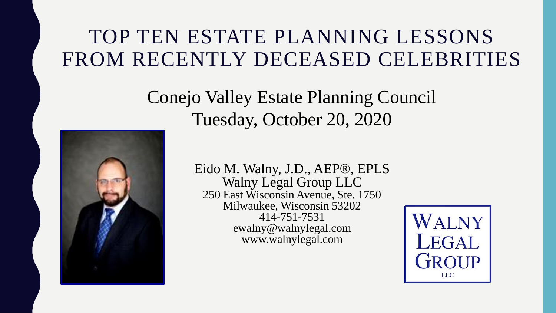#### TOP TEN ESTATE PLANNING LESSONS FROM RECENTLY DECEASED CELEBRITIES

Conejo Valley Estate Planning Council Tuesday, October 20, 2020



Eido M. Walny, J.D., AEP®, EPLS Walny Legal Group LLC 250 East Wisconsin Avenue, Ste. 1750 Milwaukee, Wisconsin 53202 414-751-7531 ewalny@walnylegal.com www.walnylegal.com

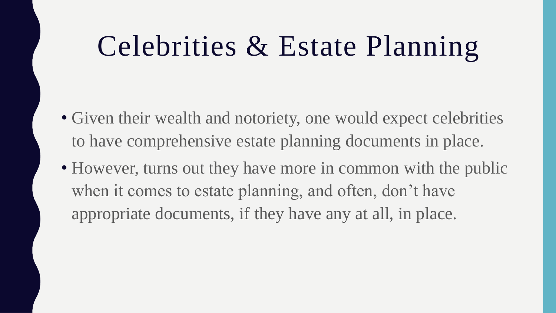## Celebrities & Estate Planning

- Given their wealth and notoriety, one would expect celebrities to have comprehensive estate planning documents in place.
- However, turns out they have more in common with the public when it comes to estate planning, and often, don't have appropriate documents, if they have any at all, in place.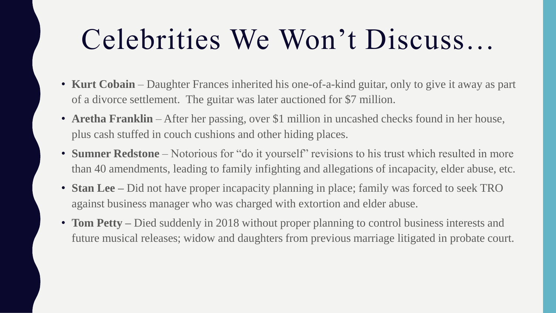# Celebrities We Won't Discuss…

- **Kurt Cobain**  Daughter Frances inherited his one-of-a-kind guitar, only to give it away as part of a divorce settlement. The guitar was later auctioned for \$7 million.
- **Aretha Franklin** After her passing, over \$1 million in uncashed checks found in her house, plus cash stuffed in couch cushions and other hiding places.
- **Sumner Redstone** Notorious for "do it yourself" revisions to his trust which resulted in more than 40 amendments, leading to family infighting and allegations of incapacity, elder abuse, etc.
- **Stan Lee** Did not have proper incapacity planning in place; family was forced to seek TRO against business manager who was charged with extortion and elder abuse.
- **Tom Petty** Died suddenly in 2018 without proper planning to control business interests and future musical releases; widow and daughters from previous marriage litigated in probate court.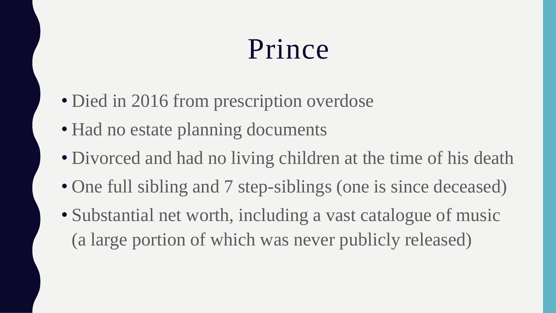## Prince

- Died in 2016 from prescription overdose
- Had no estate planning documents
- Divorced and had no living children at the time of his death
- One full sibling and 7 step-siblings (one is since deceased)
- Substantial net worth, including a vast catalogue of music (a large portion of which was never publicly released)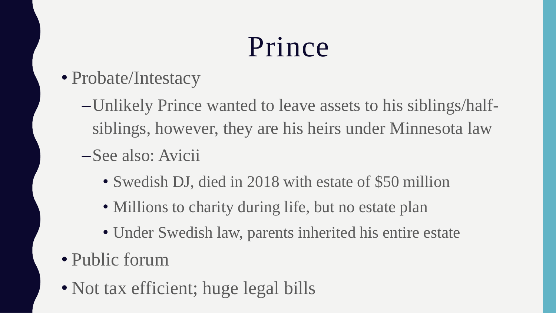# Prince

- Probate/Intestacy
	- –Unlikely Prince wanted to leave assets to his siblings/halfsiblings, however, they are his heirs under Minnesota law
	- –See also: Avicii
		- Swedish DJ, died in 2018 with estate of \$50 million
		- Millions to charity during life, but no estate plan
		- Under Swedish law, parents inherited his entire estate
- Public forum
- Not tax efficient; huge legal bills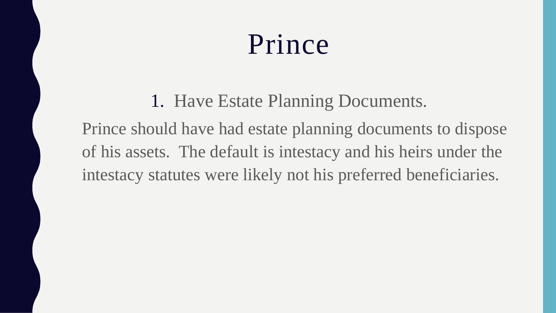### Prince

1. Have Estate Planning Documents. Prince should have had estate planning documents to dispose of his assets. The default is intestacy and his heirs under the intestacy statutes were likely not his preferred beneficiaries.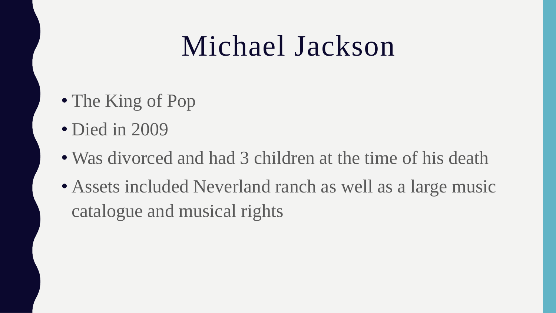### Michael Jackson

- The King of Pop
- Died in 2009
- Was divorced and had 3 children at the time of his death
- Assets included Neverland ranch as well as a large music catalogue and musical rights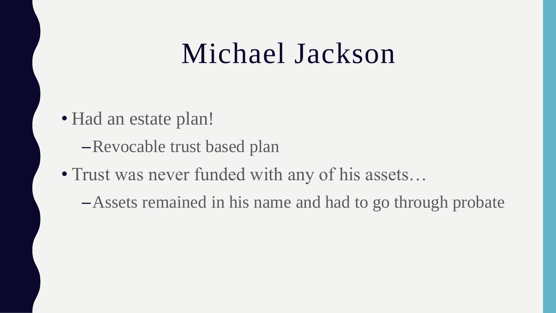#### Michael Jackson

- Had an estate plan!
	- –Revocable trust based plan
- Trust was never funded with any of his assets...
	- –Assets remained in his name and had to go through probate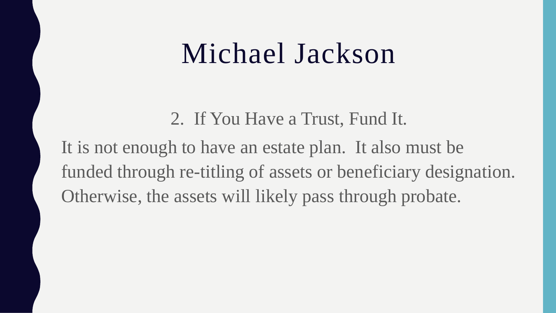#### Michael Jackson

2. If You Have a Trust, Fund It. It is not enough to have an estate plan. It also must be funded through re-titling of assets or beneficiary designation. Otherwise, the assets will likely pass through probate.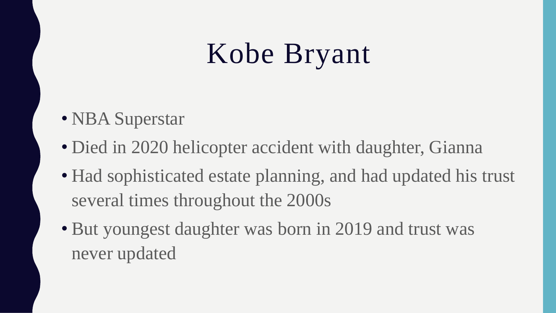# Kobe Bryant

- NBA Superstar
- Died in 2020 helicopter accident with daughter, Gianna
- Had sophisticated estate planning, and had updated his trust several times throughout the 2000s
- But youngest daughter was born in 2019 and trust was never updated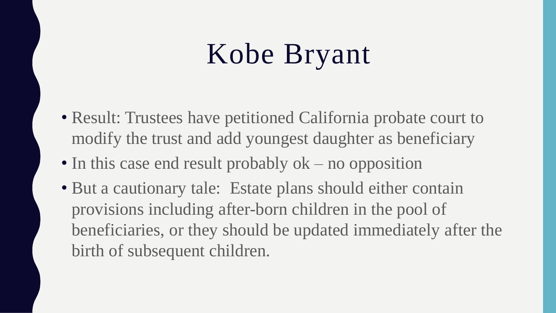# Kobe Bryant

- Result: Trustees have petitioned California probate court to modify the trust and add youngest daughter as beneficiary
- In this case end result probably ok no opposition
- But a cautionary tale: Estate plans should either contain provisions including after-born children in the pool of beneficiaries, or they should be updated immediately after the birth of subsequent children.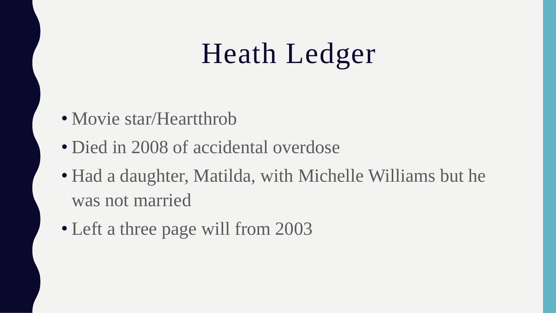# Heath Ledger

- Movie star/Heartthrob
- Died in 2008 of accidental overdose
- Had a daughter, Matilda, with Michelle Williams but he was not married
- Left a three page will from 2003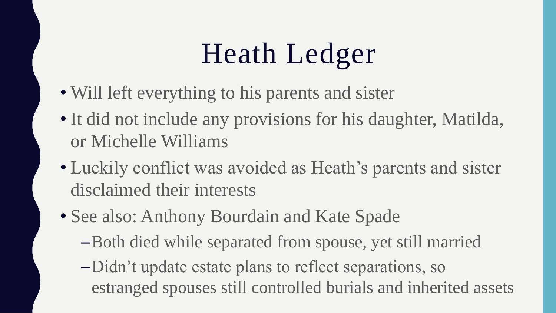# Heath Ledger

- Will left everything to his parents and sister
- It did not include any provisions for his daughter, Matilda, or Michelle Williams
- Luckily conflict was avoided as Heath's parents and sister disclaimed their interests
- See also: Anthony Bourdain and Kate Spade
	- –Both died while separated from spouse, yet still married
	- –Didn't update estate plans to reflect separations, so estranged spouses still controlled burials and inherited assets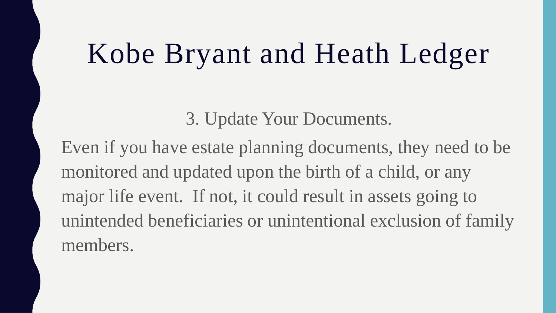### Kobe Bryant and Heath Ledger

3. Update Your Documents.

Even if you have estate planning documents, they need to be monitored and updated upon the birth of a child, or any major life event. If not, it could result in assets going to unintended beneficiaries or unintentional exclusion of family members.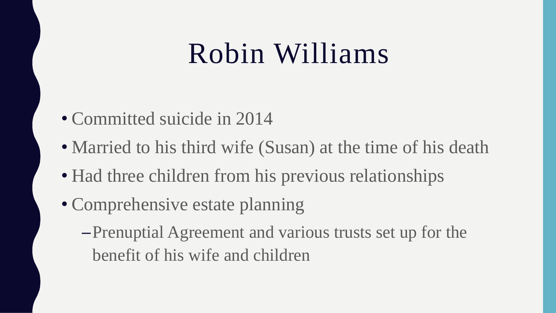- Committed suicide in 2014
- Married to his third wife (Susan) at the time of his death
- Had three children from his previous relationships
- Comprehensive estate planning
	- –Prenuptial Agreement and various trusts set up for the benefit of his wife and children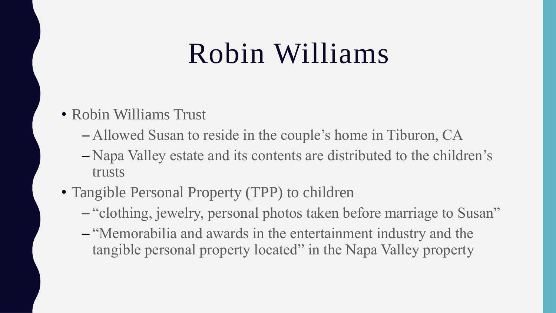- Robin Williams Trust
	- Allowed Susan to reside in the couple's home in Tiburon, CA
	- Napa Valley estate and its contents are distributed to the children's trusts
- Tangible Personal Property (TPP) to children
	- "clothing, jewelry, personal photos taken before marriage to Susan"
	- "Memorabilia and awards in the entertainment industry and the tangible personal property located" in the Napa Valley property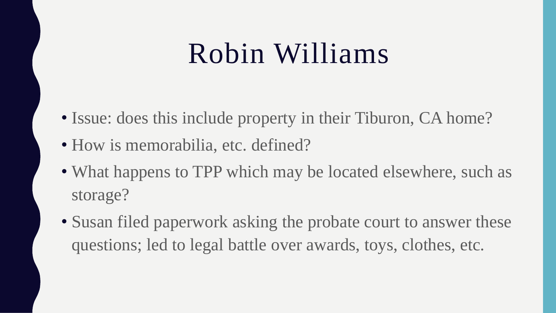- Issue: does this include property in their Tiburon, CA home?
- How is memorabilia, etc. defined?
- What happens to TPP which may be located elsewhere, such as storage?
- Susan filed paperwork asking the probate court to answer these questions; led to legal battle over awards, toys, clothes, etc.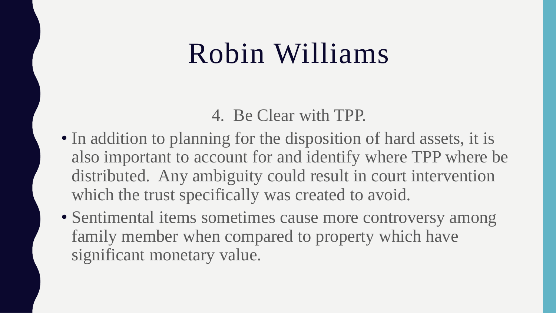4. Be Clear with TPP.

- In addition to planning for the disposition of hard assets, it is also important to account for and identify where TPP where be distributed. Any ambiguity could result in court intervention which the trust specifically was created to avoid.
- Sentimental items sometimes cause more controversy among family member when compared to property which have significant monetary value.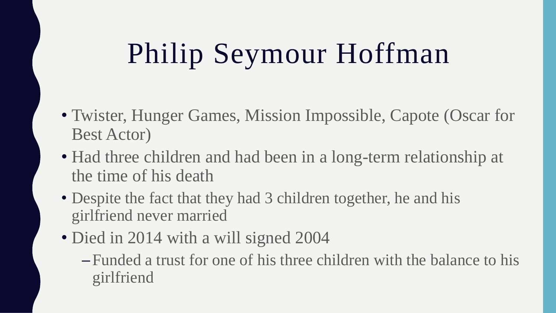# Philip Seymour Hoffman

- Twister, Hunger Games, Mission Impossible, Capote (Oscar for Best Actor)
- Had three children and had been in a long-term relationship at the time of his death
- Despite the fact that they had 3 children together, he and his girlfriend never married
- Died in 2014 with a will signed 2004
	- Funded a trust for one of his three children with the balance to his girlfriend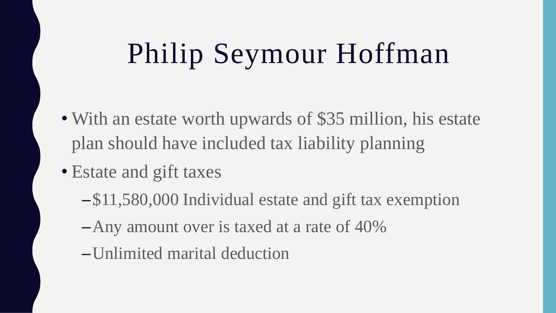# Philip Seymour Hoffman

- With an estate worth upwards of \$35 million, his estate plan should have included tax liability planning
- Estate and gift taxes
	- –\$11,580,000 Individual estate and gift tax exemption
	- –Any amount over is taxed at a rate of 40%
	- –Unlimited marital deduction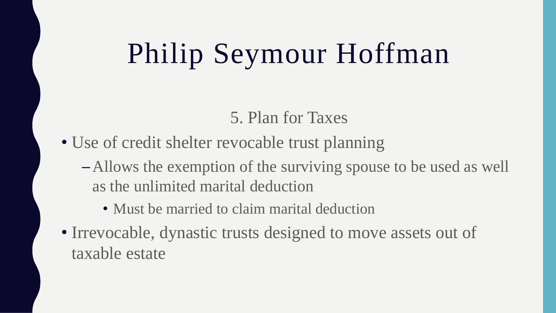# Philip Seymour Hoffman

5. Plan for Taxes

- Use of credit shelter revocable trust planning
	- –Allows the exemption of the surviving spouse to be used as well as the unlimited marital deduction
		- Must be married to claim marital deduction
- Irrevocable, dynastic trusts designed to move assets out of taxable estate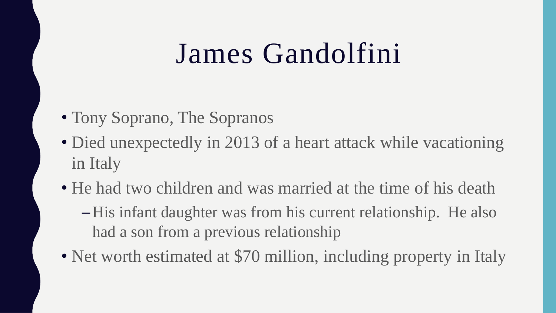- Tony Soprano, The Sopranos
- Died unexpectedly in 2013 of a heart attack while vacationing in Italy
- He had two children and was married at the time of his death
	- –His infant daughter was from his current relationship. He also had a son from a previous relationship
- Net worth estimated at \$70 million, including property in Italy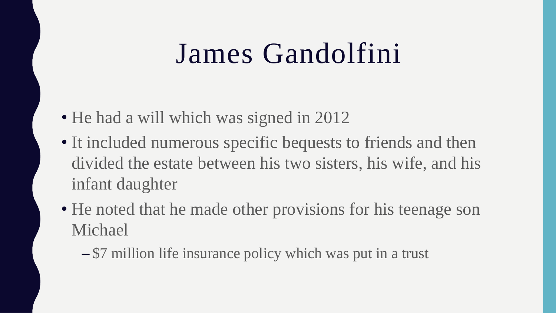- He had a will which was signed in 2012
- It included numerous specific bequests to friends and then divided the estate between his two sisters, his wife, and his infant daughter
- He noted that he made other provisions for his teenage son Michael
	- \$7 million life insurance policy which was put in a trust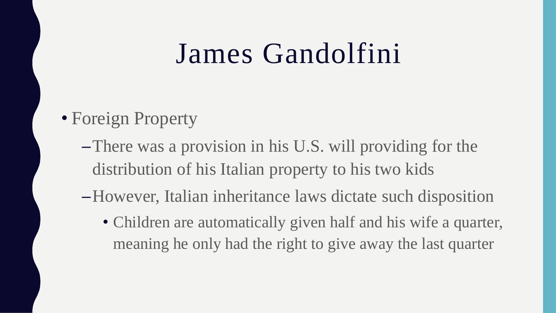#### • Foreign Property

- –There was a provision in his U.S. will providing for the distribution of his Italian property to his two kids
- –However, Italian inheritance laws dictate such disposition
	- Children are automatically given half and his wife a quarter, meaning he only had the right to give away the last quarter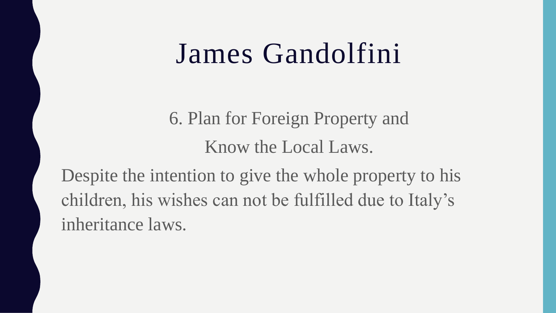6. Plan for Foreign Property and Know the Local Laws.

Despite the intention to give the whole property to his children, his wishes can not be fulfilled due to Italy's inheritance laws.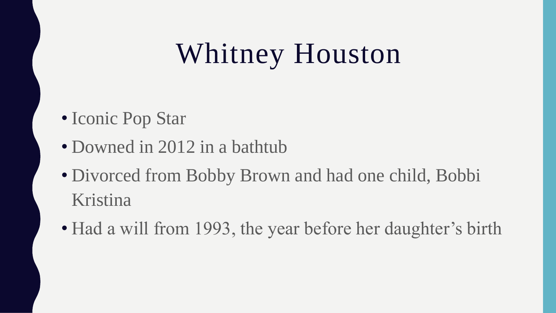# Whitney Houston

- Iconic Pop Star
- Downed in 2012 in a bathtub
- Divorced from Bobby Brown and had one child, Bobbi Kristina
- Had a will from 1993, the year before her daughter's birth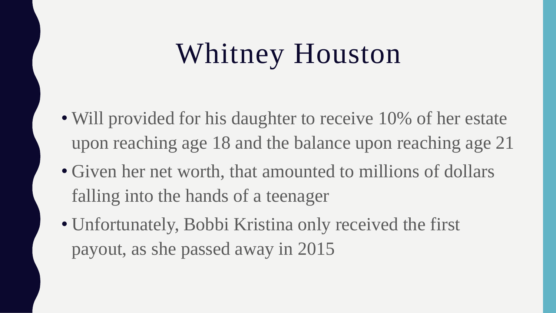# Whitney Houston

- Will provided for his daughter to receive 10% of her estate upon reaching age 18 and the balance upon reaching age 21
- Given her net worth, that amounted to millions of dollars falling into the hands of a teenager
- Unfortunately, Bobbi Kristina only received the first payout, as she passed away in 2015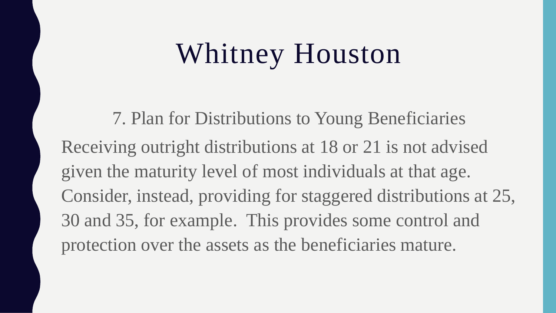# Whitney Houston

7. Plan for Distributions to Young Beneficiaries Receiving outright distributions at 18 or 21 is not advised given the maturity level of most individuals at that age. Consider, instead, providing for staggered distributions at 25, 30 and 35, for example. This provides some control and protection over the assets as the beneficiaries mature.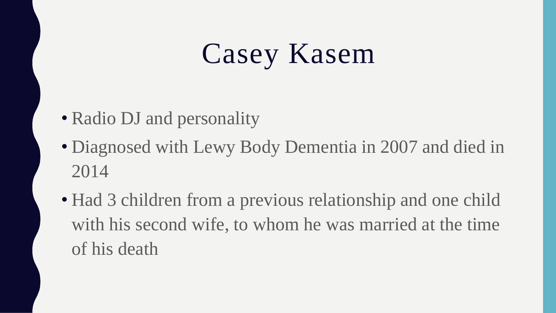# Casey Kasem

- Radio DJ and personality
- Diagnosed with Lewy Body Dementia in 2007 and died in 2014
- Had 3 children from a previous relationship and one child with his second wife, to whom he was married at the time of his death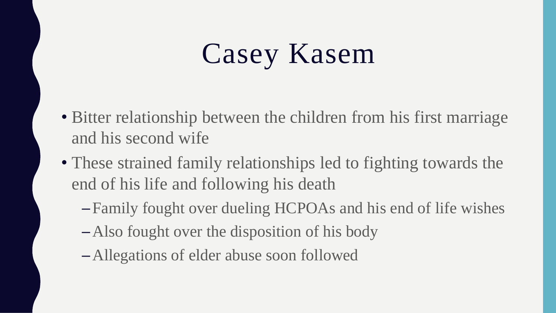# Casey Kasem

- Bitter relationship between the children from his first marriage and his second wife
- These strained family relationships led to fighting towards the end of his life and following his death
	- Family fought over dueling HCPOAs and his end of life wishes
	- –Also fought over the disposition of his body
	- –Allegations of elder abuse soon followed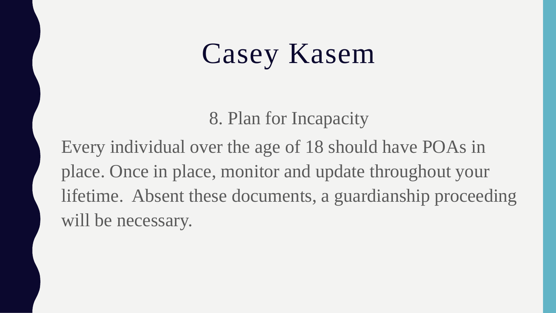# Casey Kasem

8. Plan for Incapacity

Every individual over the age of 18 should have POAs in place. Once in place, monitor and update throughout your lifetime. Absent these documents, a guardianship proceeding will be necessary.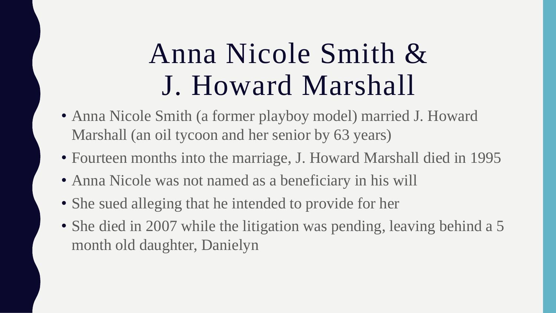- Anna Nicole Smith (a former playboy model) married J. Howard Marshall (an oil tycoon and her senior by 63 years)
- Fourteen months into the marriage, J. Howard Marshall died in 1995
- Anna Nicole was not named as a beneficiary in his will
- She sued alleging that he intended to provide for her
- She died in 2007 while the litigation was pending, leaving behind a 5 month old daughter, Danielyn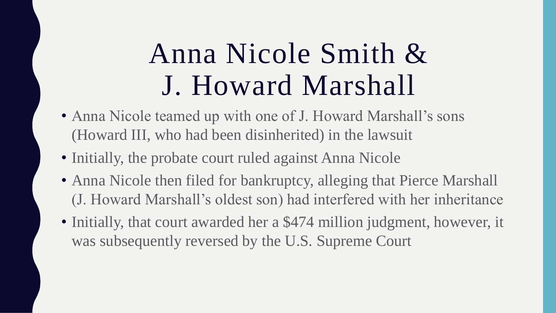- Anna Nicole teamed up with one of J. Howard Marshall's sons (Howard III, who had been disinherited) in the lawsuit
- Initially, the probate court ruled against Anna Nicole
- Anna Nicole then filed for bankruptcy, alleging that Pierce Marshall (J. Howard Marshall's oldest son) had interfered with her inheritance
- Initially, that court awarded her a \$474 million judgment, however, it was subsequently reversed by the U.S. Supreme Court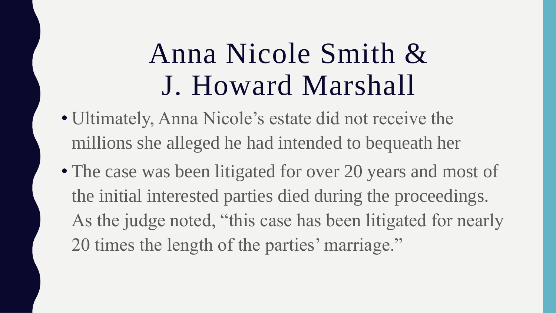- Ultimately, Anna Nicole's estate did not receive the millions she alleged he had intended to bequeath her
- The case was been litigated for over 20 years and most of the initial interested parties died during the proceedings. As the judge noted, "this case has been litigated for nearly 20 times the length of the parties' marriage."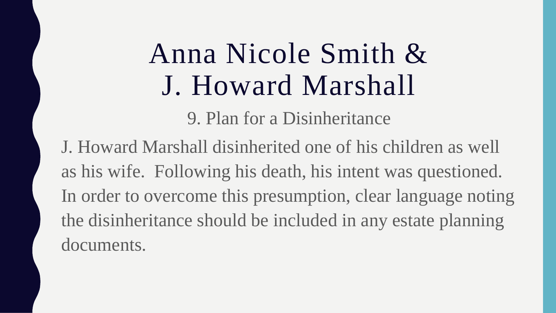9. Plan for a Disinheritance

J. Howard Marshall disinherited one of his children as well as his wife. Following his death, his intent was questioned. In order to overcome this presumption, clear language noting the disinheritance should be included in any estate planning documents.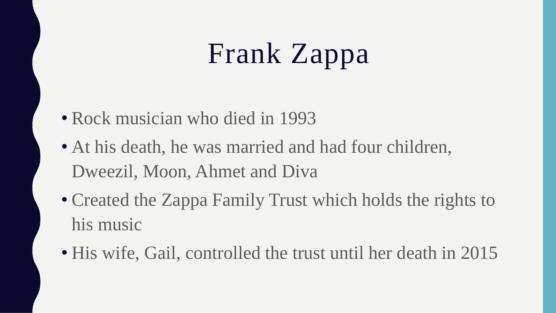# Frank Zappa

- Rock musician who died in 1993
- At his death, he was married and had four children, Dweezil, Moon, Ahmet and Diva
- Created the Zappa Family Trust which holds the rights to his music
- His wife, Gail, controlled the trust until her death in 2015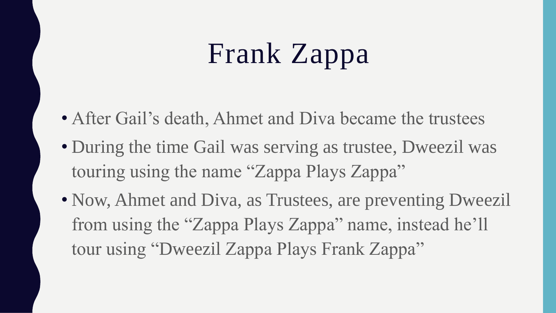# Frank Zappa

- After Gail's death, Ahmet and Diva became the trustees
- During the time Gail was serving as trustee, Dweezil was touring using the name "Zappa Plays Zappa"
- Now, Ahmet and Diva, as Trustees, are preventing Dweezil from using the "Zappa Plays Zappa" name, instead he'll tour using "Dweezil Zappa Plays Frank Zappa"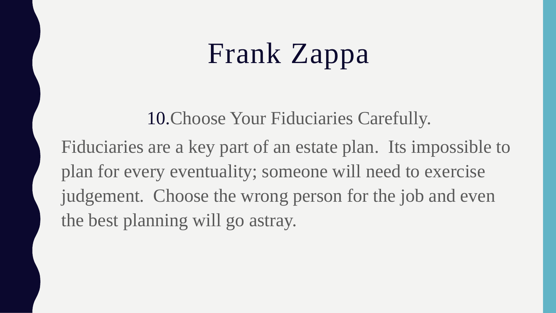# Frank Zappa

10.Choose Your Fiduciaries Carefully.

Fiduciaries are a key part of an estate plan. Its impossible to plan for every eventuality; someone will need to exercise judgement. Choose the wrong person for the job and even the best planning will go astray.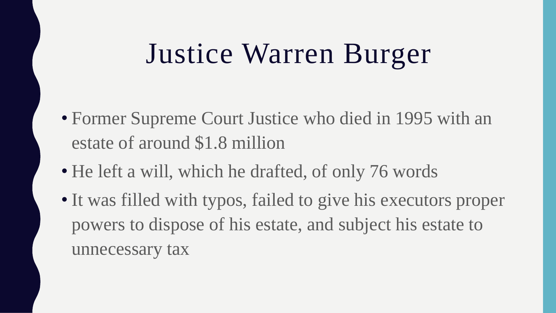# Justice Warren Burger

- Former Supreme Court Justice who died in 1995 with an estate of around \$1.8 million
- He left a will, which he drafted, of only 76 words
- It was filled with typos, failed to give his executors proper powers to dispose of his estate, and subject his estate to unnecessary tax